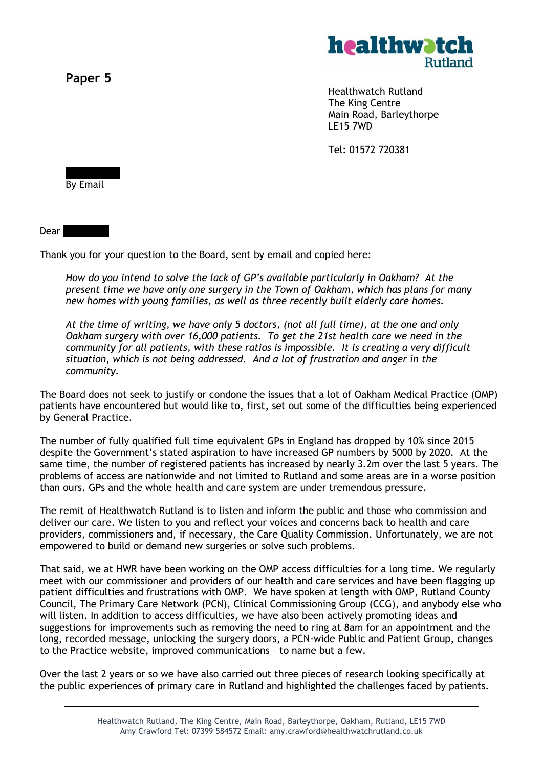**Paper 5**



Healthwatch Rutland The King Centre Main Road, Barleythorpe LE15 7WD

Tel: 01572 720381

By Email

 $Dear$ 

Thank you for your question to the Board, sent by email and copied here:

*How do you intend to solve the lack of GP's available particularly in Oakham? At the present time we have only one surgery in the Town of Oakham, which has plans for many new homes with young families, as well as three recently built elderly care homes.*

*At the time of writing, we have only 5 doctors, (not all full time), at the one and only Oakham surgery with over 16,000 patients. To get the 21st health care we need in the community for all patients, with these ratios is impossible. It is creating a very difficult situation, which is not being addressed. And a lot of frustration and anger in the community.*

The Board does not seek to justify or condone the issues that a lot of Oakham Medical Practice (OMP) patients have encountered but would like to, first, set out some of the difficulties being experienced by General Practice.

The number of fully qualified full time equivalent GPs in England has dropped by 10% since 2015 despite the Government's stated aspiration to have increased GP numbers by 5000 by 2020. At the same time, the number of registered patients has increased by nearly 3.2m over the last 5 years. The problems of access are nationwide and not limited to Rutland and some areas are in a worse position than ours. GPs and the whole health and care system are under tremendous pressure.

The remit of Healthwatch Rutland is to listen and inform the public and those who commission and deliver our care. We listen to you and reflect your voices and concerns back to health and care providers, commissioners and, if necessary, the Care Quality Commission. Unfortunately, we are not empowered to build or demand new surgeries or solve such problems.

That said, we at HWR have been working on the OMP access difficulties for a long time. We regularly meet with our commissioner and providers of our health and care services and have been flagging up patient difficulties and frustrations with OMP. We have spoken at length with OMP, Rutland County Council, The Primary Care Network (PCN), Clinical Commissioning Group (CCG), and anybody else who will listen. In addition to access difficulties, we have also been actively promoting ideas and suggestions for improvements such as removing the need to ring at 8am for an appointment and the long, recorded message, unlocking the surgery doors, a PCN-wide Public and Patient Group, changes to the Practice website, improved communications – to name but a few.

Over the last 2 years or so we have also carried out three pieces of research looking specifically at the public experiences of primary care in Rutland and highlighted the challenges faced by patients.